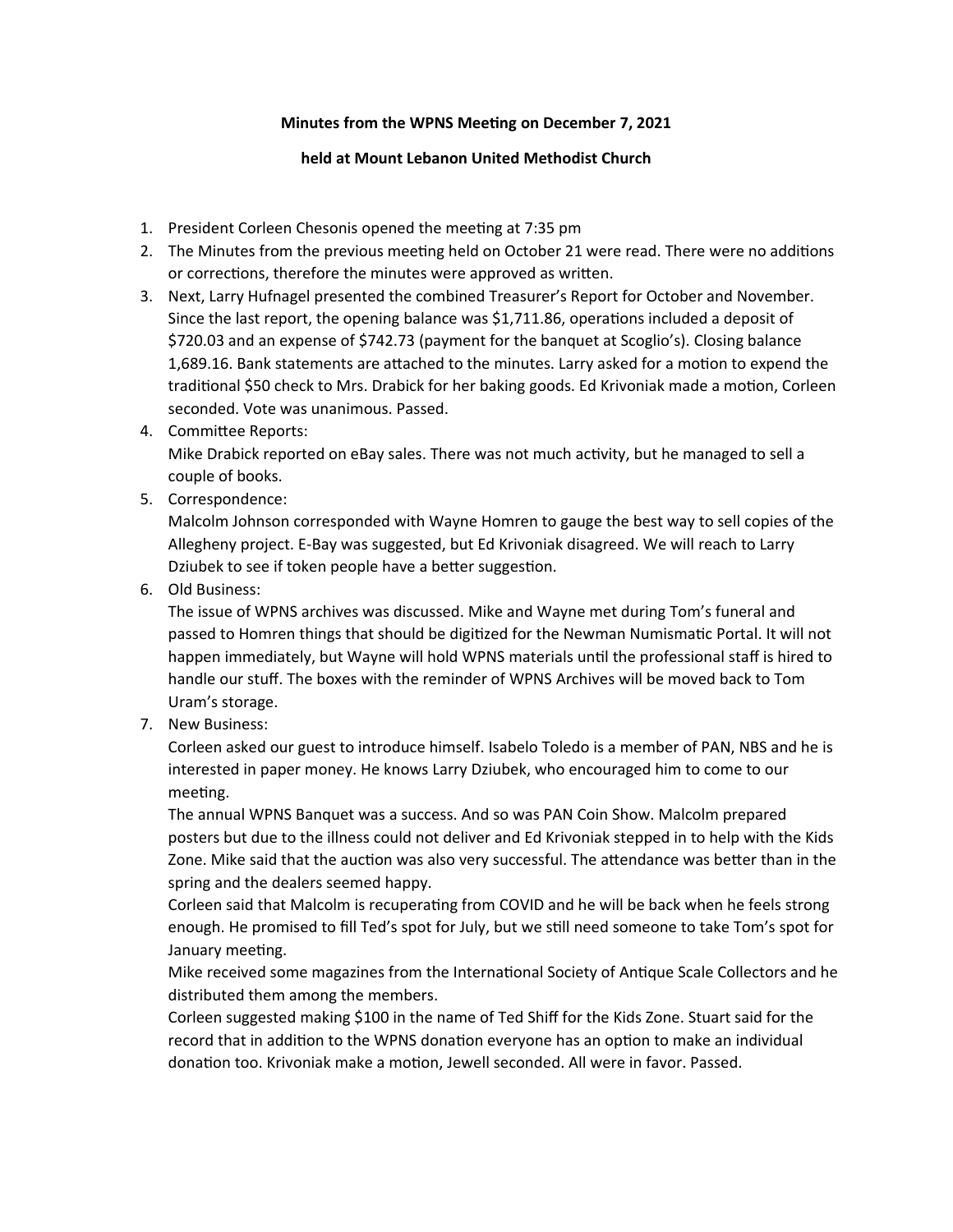## **Minutes from the WPNS Meeting on December 7, 2021**

## **held at Mount Lebanon United Methodist Church**

- 1. President Corleen Chesonis opened the meetng at 7:35 pm
- 2. The Minutes from the previous meeting held on October 21 were read. There were no additions or corrections, therefore the minutes were approved as written.
- 3. Next, Larry Hufnagel presented the combined Treasurer's Report for October and November. Since the last report, the opening balance was \$1,711.86, operations included a deposit of \$720.03 and an expense of \$742.73 (payment for the banquet at Scoglio's). Closing balance 1,689.16. Bank statements are atached to the minutes. Larry asked for a moton to expend the traditional \$50 check to Mrs. Drabick for her baking goods. Ed Krivoniak made a motion, Corleen seconded. Vote was unanimous. Passed.
- 4. Commitee Reports: Mike Drabick reported on eBay sales. There was not much activity, but he managed to sell a couple of books.
- 5. Correspondence:

Malcolm Johnson corresponded with Wayne Homren to gauge the best way to sell copies of the Allegheny project. E-Bay was suggested, but Ed Krrivoniak disagreed. We will reach to Larry Dziubek to see if token people have a better suggestion.

6. Old Business:

The issue of WPNS archives was discussed. Mike and Wayne met during Tom's funeral and passed to Homren things that should be digitized for the Newman Numismatic Portal. It will not happen immediately, but Wayne will hold WPNS materials until the professional staff is hired to handle our stuff. The boxes with the reminder of WPNS Archives will be moved back to Tom Uram's storage.

7. New Business:

Corleen asked our guest to introduce himself. sabelo Toledo is a member of PAN, NBS and he is interested in paper money. He knows Larry Dziubek, who encouraged him to come to our meeting.

The annual WPNS Banquet was a success. And so was PAN Coin Show. Malcolm prepared posters but due to the illness could not deliver and Ed Krrivoniak stepped in to help with the Krids Zone. Mike said that the auction was also very successful. The attendance was better than in the spring and the dealers seemed happy.

Corleen said that Malcolm is recuperating from COVID and he will be back when he feels strong enough. He promised to fll Ted's spot for July, but we stll need someone to take Tom's spot for January meeting.

Mike received some magazines from the nternatonal Society of Antque Scale Collectors and he distributed them among the members.

Corleen suggested making \$100 in the name of Ted Shif for the Krids Zone. Stuart said for the record that in addition to the WPNS donation everyone has an option to make an individual donation too. Krivoniak make a motion, Jewell seconded. All were in favor. Passed.